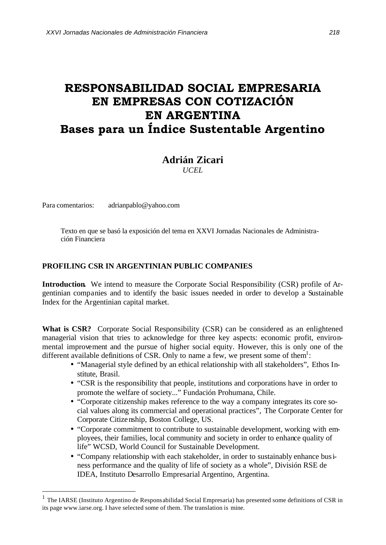## **RESPONSABILIDAD SOCIAL EMPRESARIA EN EMPRESAS CON COTIZACIÓN EN ARGENTINA Bases para un Índice Sustentable Argentino**

## **Adrián Zicari**

*UCEL*

Para comentarios: adrianpablo@yahoo.com

l

Texto en que se basó la exposición del tema en XXVI Jornadas Nacionales de Administración Financiera

## **PROFILING CSR IN ARGENTINIAN PUBLIC COMPANIES**

**Introduction.** We intend to measure the Corporate Social Responsibility (CSR) profile of Argentinian companies and to identify the basic issues needed in order to develop a Sustainable Index for the Argentinian capital market.

**What is CSR?** Corporate Social Responsibility (CSR) can be considered as an enlightened managerial vision that tries to acknowledge for three key aspects: economic profit, environmental improvement and the pursue of higher social equity. However, this is only one of the different available definitions of CSR. Only to name a few, we present some of them<sup>1</sup>:

- "Managerial style defined by an ethical relationship with all stakeholders", Ethos Institute, Brasil.
- "CSR is the responsibility that people, institutions and corporations have in order to promote the welfare of society..." Fundación Prohumana, Chile.
- "Corporate citizenship makes reference to the way a company integrates its core social values along its commercial and operational practices", The Corporate Center for Corporate Citizenship, Boston College, US.
- "Corporate commitment to contribute to sustainable development, working with employees, their families, local community and society in order to enhance quality of life" WCSD, World Council for Sustainable Development.
- "Company relationship with each stakeholder, in order to sustainably enhance business performance and the quality of life of society as a whole", División RSE de IDEA, Instituto Desarrollo Empresarial Argentino, Argentina.

<sup>1</sup> The IARSE (Instituto Argentino de Responsabilidad Social Empresaria) has presented some definitions of CSR in its page www.iarse.org. I have selected some of them. The translation is mine.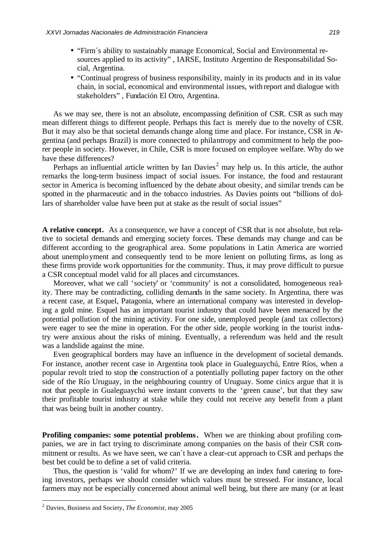- "Firm's ability to sustainably manage Economical, Social and Environmental resources applied to its activity" , IARSE, Instituto Argentino de Responsabilidad Social, Argentina.
- "Continual progress of business responsibility, mainly in its products and in its value chain, in social, economical and environmental issues, withreport and dialogue with stakeholders" , Fundación El Otro, Argentina.

As we may see, there is not an absolute, encompassing definition of CSR. CSR as such may mean different things to different people. Perhaps this fact is merely due to the novelty of CSR. But it may also be that societal demands change along time and place. For instance, CSR in Argentina (and perhaps Brazil) is more connected to philantropy and commitment to help the poorer people in society. However, in Chile, CSR is more focused on employee welfare. Why do we have these differences?

Perhaps an influential article written by Ian Davies<sup>2</sup> may help us. In this article, the author remarks the long-term business impact of social issues. For instance, the food and restaurant sector in America is becoming influenced by the debate about obesity, and similar trends can be spotted in the pharmaceutic and in the tobacco industries. As Davies points out "billions of dollars of shareholder value have been put at stake as the result of social issues"

**A relative concept.** As a consequence, we have a concept of CSR that is not absolute, but relative to societal demands and emerging society forces. These demands may change and can be different according to the geographical area. Some populations in Latin America are worried about unemployment and consequently tend to be more lenient on polluting firms, as long as these firms provide work opportunities for the community. Thus, it may prove difficult to pursue a CSR conceptual model valid for all places and circumstances.

Moreover, what we call 'society' or 'community' is not a consolidated, homogeneous reality. There may be contradicting, colliding demands in the same society. In Argentina, there was a recent case, at Esquel, Patagonia, where an international company was interested in developing a gold mine. Esquel has an important tourist industry that could have been menaced by the potential pollution of the mining activity. For one side, unemployed people (and tax collectors) were eager to see the mine in operation. For the other side, people working in the tourist industry were anxious about the risks of mining. Eventually, a referendum was held and the result was a landslide against the mine.

Even geographical borders may have an influence in the development of societal demands. For instance, another recent case in Argentina took place in Gualeguaychú, Entre Ríos, when a popular revolt tried to stop the construction of a potentially polluting paper factory on the other side of the Río Uruguay, in the neighbouring country of Uruguay. Some cinics argue that it is not that people in Gualeguaychú were instant converts to the 'green cause', but that they saw their profitable tourist industry at stake while they could not receive any benefit from a plant that was being built in another country.

**Profiling companies: some potential problems.** When we are thinking about profiling companies, we are in fact trying to discriminate among companies on the basis of their CSR commitment or results. As we have seen, we can´t have a clear-cut approach to CSR and perhaps the best bet could be to define a set of valid criteria.

Thus, the question is 'valid for whom?' If we are developing an index fund catering to foreing investors, perhaps we should consider which values must be stressed. For instance, local farmers may not be especially concerned about animal well being, but there are many (or at least

<sup>2</sup> Davies, Business and Society, *The Economist*, may 2005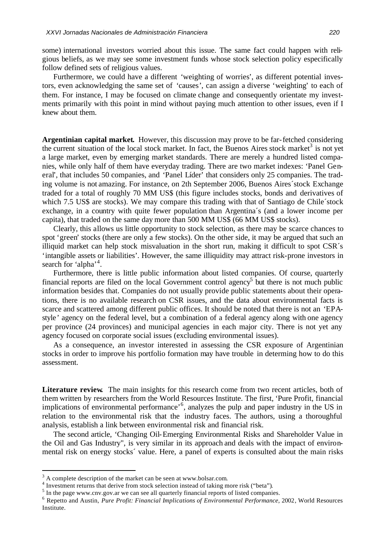some) international investors worried about this issue. The same fact could happen with religious beliefs, as we may see some investment funds whose stock selection policy especifically follow defined sets of religious values.

Furthermore, we could have a different 'weighting of worries', as different potential investors, even acknowledging the same set of 'causes', can assign a diverse 'weighting' to each of them. For instance, I may be focused on climate change and consequently orientate my investments primarily with this point in mind without paying much attention to other issues, even if I knew about them.

**Argentinian capital market.** However, this discussion may prove to be far-fetched considering the current situation of the local stock market. In fact, the Buenos Aires stock market<sup>3</sup> is not yet a large market, even by emerging market standards. There are merely a hundred listed companies, while only half of them have everyday trading. There are two market indexes: 'Panel General', that includes 50 companies, and 'Panel Líder' that considers only 25 companies. The trading volume is not amazing. For instance, on 2th September 2006, Buenos Aires´stock Exchange traded for a total of roughly 70 MM US\$ (this figure includes stocks, bonds and derivatives of which 7.5 US\$ are stocks). We may compare this trading with that of Santiago de Chile'stock exchange, in a country with quite fewer population than Argentina´s (and a lower income per capita), that traded on the same day more than 500 MM US\$ (66 MM US\$ stocks).

Clearly, this allows us little opportunity to stock selection, as there may be scarce chances to spot 'green' stocks (there are only a few stocks). On the other side, it may be argued that such an illiquid market can help stock misvaluation in the short run, making it difficult to spot CSR´s 'intangible assets or liabilities'. However, the same illiquidity may attract risk-prone investors in search for 'alpha'<sup>4</sup>.

Furthermore, there is little public information about listed companies. Of course, quarterly financial reports are filed on the local Government control agency<sup>5</sup> but there is not much public information besides that. Companies do not usually provide public statements about their operations, there is no available research on CSR issues, and the data about environmental facts is scarce and scattered among different public offices. It should be noted that there is not an 'EPAstyle' agency on the federal level, but a combination of a federal agency along with one agency per province (24 provinces) and municipal agencies in each major city. There is not yet any agency focused on corporate social issues (excluding environmental issues).

As a consequence, an investor interested in assessing the CSR exposure of Argentinian stocks in order to improve his portfolio formation may have trouble in determing how to do this assessment.

**Literature review.** The main insights for this research come from two recent articles, both of them written by researchers from the World Resources Institute. The first, 'Pure Profit, financial implications of environmental performance' 6 , analyzes the pulp and paper industry in the US in relation to the environmental risk that the industry faces. The authors, using a thoroughful analysis, establish a link between environmental risk and financial risk.

The second article, 'Changing Oil-Emerging Environmental Risks and Shareholder Value in the Oil and Gas Industry", is very similar in its approach and deals with the impact of environmental risk on energy stocks´ value. Here, a panel of experts is consulted about the main risks

 $3$  A complete description of the market can be seen at www.bolsar.com.

<sup>&</sup>lt;sup>4</sup> Investment returns that derive from stock selection instead of taking more risk ("beta").

 $<sup>5</sup>$  In the page www.cnv.gov.ar we can see all quarterly financial reports of listed companies.</sup>

<sup>6</sup> Repetto and Austin, *Pure Profit: Financial Implications of Environmental Performance*, 2002, World Resources Institute.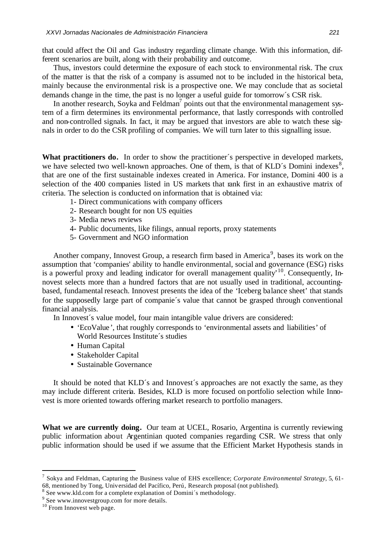that could affect the Oil and Gas industry regarding climate change. With this information, different scenarios are built, along with their probability and outcome.

Thus, investors could determine the exposure of each stock to environmental risk. The crux of the matter is that the risk of a company is assumed not to be included in the historical beta, mainly because the environmental risk is a prospective one. We may conclude that as societal demands change in the time, the past is no longer a useful guide for tomorrow´s CSR risk.

In another research, Soyka and Feldman<sup>7</sup> points out that the environmental management system of a firm determines its environmental performance, that lastly corresponds with controlled and non-controlled signals. In fact, it may be argued that investors are able to watch these signals in order to do the CSR profiling of companies. We will turn later to this signalling issue.

What practitioners do. In order to show the practitioner's perspective in developed markets, we have selected two well-known approaches. One of them, is that of KLD´s Domini indexes<sup>8</sup>, that are one of the first sustainable indexes created in America. For instance, Domini 400 is a selection of the 400 companies listed in US markets that rank first in an exhaustive matrix of criteria. The selection is conducted on information that is obtained via:

- 1- Direct communications with company officers
- 2- Research bought for non US equities
- 3- Media news reviews
- 4- Public documents, like filings, annual reports, proxy statements
- 5- Government and NGO information

Another company, Innovest Group, a research firm based in America<sup>9</sup>, bases its work on the assumption that 'companies' ability to handle environmental, social and governance (ESG) risks is a powerful proxy and leading indicator for overall management quality<sup> $10$ </sup>. Consequently, Innovest selects more than a hundred factors that are not usually used in traditional, accountingbased, fundamental reseach. Innovest presents the idea of the 'Iceberg balance sheet' that stands for the supposedly large part of companie´s value that cannot be grasped through conventional financial analysis.

In Innovest´s value model, four main intangible value drivers are considered:

- 'EcoValue', that roughly corresponds to 'environmental assets and liabilities' of World Resources Institute´s studies
- Human Capital
- Stakeholder Capital
- Sustainable Governance

It should be noted that KLD´s and Innovest´s approaches are not exactly the same, as they may include different criteria. Besides, KLD is more focused on portfolio selection while Innovest is more oriented towards offering market research to portfolio managers.

**What we are currently doing.** Our team at UCEL, Rosario, Argentina is currently reviewing public information about Argentinian quoted companies regarding CSR. We stress that only public information should be used if we assume that the Efficient Market Hypothesis stands in

<sup>7</sup> Sokya and Feldman, Capturing the Business value of EHS excellence; *Corporate Environmental Strategy*, 5, 61- 68, mentioned by Tong, Universidad del Pacífico, Perú, Research proposal (not published).

<sup>&</sup>lt;sup>8</sup> See www.kld.com for a complete explanation of Domini's methodology.

<sup>&</sup>lt;sup>9</sup> See www.innovestgroup.com for more details.

<sup>&</sup>lt;sup>10</sup> From Innovest web page.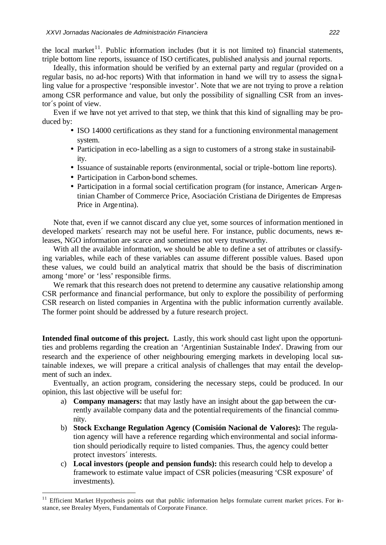the local market<sup>11</sup>. Public information includes (but it is not limited to) financial statements, triple bottom line reports, issuance of ISO certificates, published analysis and journal reports.

Ideally, this information should be verified by an external party and regular (provided on a regular basis, no ad-hoc reports) With that information in hand we will try to assess the signa lling value for a prospective 'responsible investor'. Note that we are not trying to prove a relation among CSR performance and value, but only the possibility of signalling CSR from an investor´s point of view.

Even if we have not yet arrived to that step, we think that this kind of signalling may be produced by:

- ISO 14000 certifications as they stand for a functioning environmental management system.
- Participation in eco-labelling as a sign to customers of a strong stake in sustainability.
- Issuance of sustainable reports (environmental, social or triple-bottom line reports).
- Participation in Carbon-bond schemes.
- Participation in a formal social certification program (for instance, American- Argentinian Chamber of Commerce Price, Asociación Cristiana de Dirigentes de Empresas Price in Argentina).

Note that, even if we cannot discard any clue yet, some sources of information mentioned in developed markets' research may not be useful here. For instance, public documents, news releases, NGO information are scarce and sometimes not very trustworthy.

With all the available information, we should be able to define a set of attributes or classifying variables, while each of these variables can assume different possible values. Based upon these values, we could build an analytical matrix that should be the basis of discrimination among 'more' or 'less' responsible firms.

We remark that this research does not pretend to determine any causative relationship among CSR performance and financial performance, but only to explore the possibility of performing CSR research on listed companies in Argentina with the public information currently available. The former point should be addressed by a future research project.

**Intended final outcome of this project.** Lastly, this work should cast light upon the opportunities and problems regarding the creation an 'Argentinian Sustainable Index'. Drawing from our research and the experience of other neighbouring emerging markets in developing local sustainable indexes, we will prepare a critical analysis of challenges that may entail the development of such an index.

Eventually, an action program, considering the necessary steps, could be produced. In our opinion, this last objective will be useful for:

- a) **Company managers:** that may lastly have an insight about the gap between the currently available company data and the potential requirements of the financial community.
- b) **Stock Exchange Regulation Agency (Comisión Nacional de Valores):** The regulation agency will have a reference regarding which environmental and social information should periodically require to listed companies. Thus, the agency could better protect investors´ interests.
- c) **Local investors (people and pension funds):** this research could help to develop a framework to estimate value impact of CSR policies(measuring 'CSR exposure' of investments).

<sup>&</sup>lt;sup>11</sup> Efficient Market Hypothesis points out that public information helps formulate current market prices. For instance, see Brealey Myers, Fundamentals of Corporate Finance.